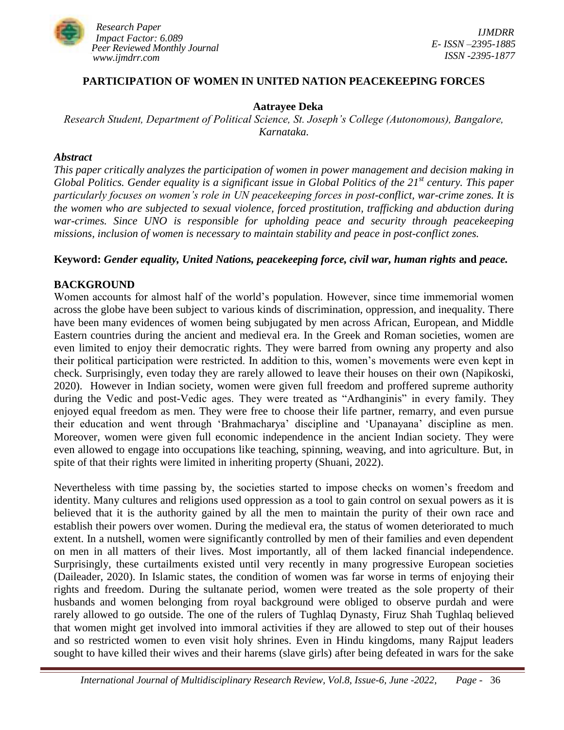

### **PARTICIPATION OF WOMEN IN UNITED NATION PEACEKEEPING FORCES**

#### **Aatrayee Deka**

*Research Student, Department of Political Science, St. Joseph's College (Autonomous), Bangalore, Karnataka.*

#### *Abstract*

*This paper critically analyzes the participation of women in power management and decision making in Global Politics. Gender equality is a significant issue in Global Politics of the 21st century. This paper particularly focuses on women's role in UN peacekeeping forces in post-conflict, war-crime zones. It is the women who are subjected to sexual violence, forced prostitution, trafficking and abduction during war-crimes. Since UNO is responsible for upholding peace and security through peacekeeping missions, inclusion of women is necessary to maintain stability and peace in post-conflict zones.*

### **Keyword:** *Gender equality, United Nations, peacekeeping force, civil war, human rights* **and** *peace.*

### **BACKGROUND**

Women accounts for almost half of the world"s population. However, since time immemorial women across the globe have been subject to various kinds of discrimination, oppression, and inequality. There have been many evidences of women being subjugated by men across African, European, and Middle Eastern countries during the ancient and medieval era. In the Greek and Roman societies, women are even limited to enjoy their democratic rights. They were barred from owning any property and also their political participation were restricted. In addition to this, women"s movements were even kept in check. Surprisingly, even today they are rarely allowed to leave their houses on their own (Napikoski, 2020). However in Indian society, women were given full freedom and proffered supreme authority during the Vedic and post-Vedic ages. They were treated as "Ardhanginis" in every family. They enjoyed equal freedom as men. They were free to choose their life partner, remarry, and even pursue their education and went through "Brahmacharya" discipline and "Upanayana" discipline as men. Moreover, women were given full economic independence in the ancient Indian society. They were even allowed to engage into occupations like teaching, spinning, weaving, and into agriculture. But, in spite of that their rights were limited in inheriting property (Shuani, 2022).

Nevertheless with time passing by, the societies started to impose checks on women"s freedom and identity. Many cultures and religions used oppression as a tool to gain control on sexual powers as it is believed that it is the authority gained by all the men to maintain the purity of their own race and establish their powers over women. During the medieval era, the status of women deteriorated to much extent. In a nutshell, women were significantly controlled by men of their families and even dependent on men in all matters of their lives. Most importantly, all of them lacked financial independence. Surprisingly, these curtailments existed until very recently in many progressive European societies (Daileader, 2020). In Islamic states, the condition of women was far worse in terms of enjoying their rights and freedom. During the sultanate period, women were treated as the sole property of their husbands and women belonging from royal background were obliged to observe purdah and were rarely allowed to go outside. The one of the rulers of Tughlaq Dynasty, Firuz Shah Tughlaq believed that women might get involved into immoral activities if they are allowed to step out of their houses and so restricted women to even visit holy shrines. Even in Hindu kingdoms, many Rajput leaders sought to have killed their wives and their harems (slave girls) after being defeated in wars for the sake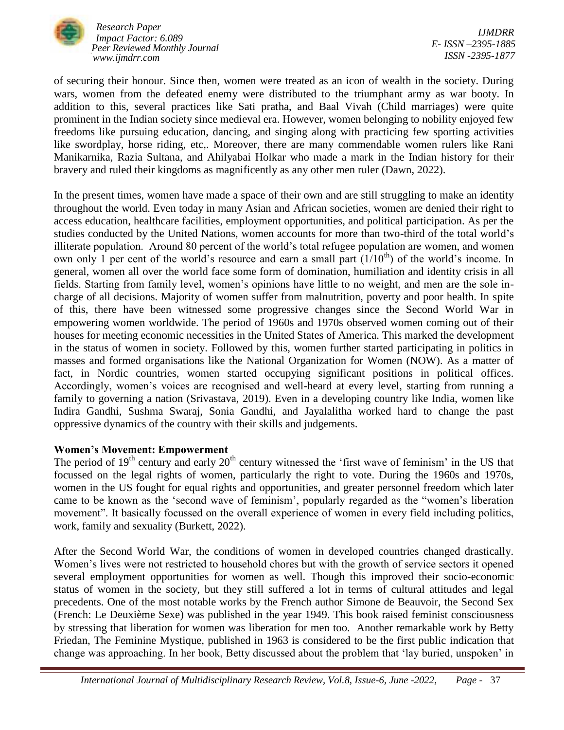

*Research Paper Impact Factor: 6.089 Peer Reviewed Monthly Journal www.ijmdrr.com*

*IJMDRR E- ISSN –2395-1885 ISSN -2395-1877*

of securing their honour. Since then, women were treated as an icon of wealth in the society. During wars, women from the defeated enemy were distributed to the triumphant army as war booty. In addition to this, several practices like Sati pratha, and Baal Vivah (Child marriages) were quite prominent in the Indian society since medieval era. However, women belonging to nobility enjoyed few freedoms like pursuing education, dancing, and singing along with practicing few sporting activities like swordplay, horse riding, etc,. Moreover, there are many commendable women rulers like Rani Manikarnika, Razia Sultana, and Ahilyabai Holkar who made a mark in the Indian history for their bravery and ruled their kingdoms as magnificently as any other men ruler (Dawn, 2022).

In the present times, women have made a space of their own and are still struggling to make an identity throughout the world. Even today in many Asian and African societies, women are denied their right to access education, healthcare facilities, employment opportunities, and political participation. As per the studies conducted by the United Nations, women accounts for more than two-third of the total world"s illiterate population. Around 80 percent of the world"s total refugee population are women, and women own only 1 per cent of the world's resource and earn a small part  $(1/10<sup>th</sup>)$  of the world's income. In general, women all over the world face some form of domination, humiliation and identity crisis in all fields. Starting from family level, women"s opinions have little to no weight, and men are the sole incharge of all decisions. Majority of women suffer from malnutrition, poverty and poor health. In spite of this, there have been witnessed some progressive changes since the Second World War in empowering women worldwide. The period of 1960s and 1970s observed women coming out of their houses for meeting economic necessities in the United States of America. This marked the development in the status of women in society. Followed by this, women further started participating in politics in masses and formed organisations like the National Organization for Women (NOW). As a matter of fact, in Nordic countries, women started occupying significant positions in political offices. Accordingly, women"s voices are recognised and well-heard at every level, starting from running a family to governing a nation (Srivastava, 2019). Even in a developing country like India, women like Indira Gandhi, Sushma Swaraj, Sonia Gandhi, and Jayalalitha worked hard to change the past oppressive dynamics of the country with their skills and judgements.

## **Women's Movement: Empowerment**

The period of  $19<sup>th</sup>$  century and early  $20<sup>th</sup>$  century witnessed the 'first wave of feminism' in the US that focussed on the legal rights of women, particularly the right to vote. During the 1960s and 1970s, women in the US fought for equal rights and opportunities, and greater personnel freedom which later came to be known as the "second wave of feminism", popularly regarded as the "women"s liberation movement". It basically focussed on the overall experience of women in every field including politics, work, family and sexuality (Burkett, 2022).

After the Second World War, the conditions of women in developed countries changed drastically. Women"s lives were not restricted to household chores but with the growth of service sectors it opened several employment opportunities for women as well. Though this improved their socio-economic status of women in the society, but they still suffered a lot in terms of cultural attitudes and legal precedents. One of the most notable works by the French author Simone de Beauvoir, the Second Sex (French: Le Deuxième Sexe) was published in the year 1949. This book raised feminist consciousness by stressing that liberation for women was liberation for men too. Another remarkable work by Betty Friedan, The Feminine Mystique, published in 1963 is considered to be the first public indication that change was approaching. In her book, Betty discussed about the problem that "lay buried, unspoken" in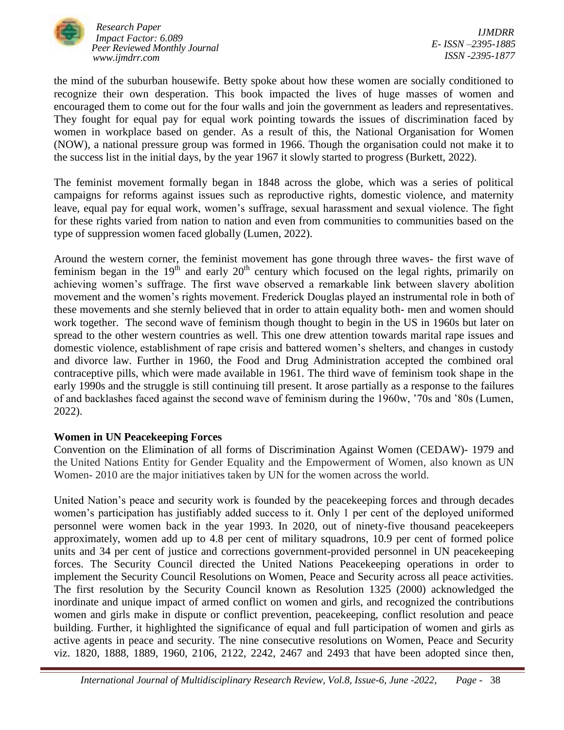

*Research Paper Impact Factor: 6.089 Peer Reviewed Monthly Journal www.ijmdrr.com*

*IJMDRR E- ISSN –2395-1885 ISSN -2395-1877*

the mind of the suburban housewife. Betty spoke about how these women are socially conditioned to recognize their own desperation. This book impacted the lives of huge masses of women and encouraged them to come out for the four walls and join the government as leaders and representatives. They fought for equal pay for equal work pointing towards the issues of discrimination faced by women in workplace based on gender. As a result of this, the National Organisation for Women (NOW), a national pressure group was formed in 1966. Though the organisation could not make it to the success list in the initial days, by the year 1967 it slowly started to progress (Burkett, 2022).

The feminist movement formally began in 1848 across the globe, which was a series of political campaigns for reforms against issues such as reproductive rights, domestic violence, and maternity leave, equal pay for equal work, women"s suffrage, sexual harassment and sexual violence. The fight for these rights varied from nation to nation and even from communities to communities based on the type of suppression women faced globally (Lumen, 2022).

Around the western corner, the feminist movement has gone through three waves- the first wave of feminism began in the  $19<sup>th</sup>$  and early  $20<sup>th</sup>$  century which focused on the legal rights, primarily on achieving women"s suffrage. The first wave observed a remarkable link between slavery abolition movement and the women's rights movement. Frederick Douglas played an instrumental role in both of these movements and she sternly believed that in order to attain equality both- men and women should work together. The second wave of feminism though thought to begin in the US in 1960s but later on spread to the other western countries as well. This one drew attention towards marital rape issues and domestic violence, establishment of rape crisis and battered women"s shelters, and changes in custody and divorce law. Further in 1960, the Food and Drug Administration accepted the combined oral contraceptive pills, which were made available in 1961. The third wave of feminism took shape in the early 1990s and the struggle is still continuing till present. It arose partially as a response to the failures of and backlashes faced against the second wave of feminism during the 1960w, "70s and "80s (Lumen, 2022).

# **Women in UN Peacekeeping Forces**

Convention on the Elimination of all forms of Discrimination Against Women (CEDAW)- 1979 and the United Nations Entity for Gender Equality and the Empowerment of Women, also known as UN Women- 2010 are the major initiatives taken by UN for the women across the world.

United Nation"s peace and security work is founded by the peacekeeping forces and through decades women"s participation has justifiably added success to it. Only 1 per cent of the deployed uniformed personnel were women back in the year 1993. In 2020, out of ninety-five thousand peacekeepers approximately, women add up to 4.8 per cent of military squadrons, 10.9 per cent of formed police units and 34 per cent of justice and corrections government-provided personnel in UN peacekeeping forces. The Security Council directed the United Nations Peacekeeping operations in order to implement the Security Council Resolutions on Women, Peace and Security across all peace activities. The first resolution by the Security Council known as Resolution 1325 (2000) acknowledged the inordinate and unique impact of armed conflict on women and girls, and recognized the contributions women and girls make in dispute or conflict prevention, peacekeeping, conflict resolution and peace building. Further, it highlighted the significance of equal and full participation of women and girls as active agents in peace and security. The nine consecutive resolutions on Women, Peace and Security viz. 1820, 1888, 1889, 1960, 2106, 2122, 2242, 2467 and 2493 that have been adopted since then,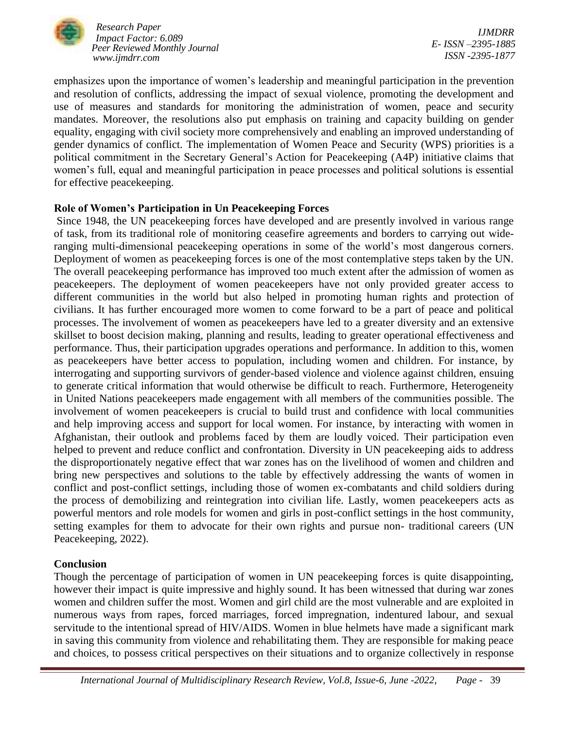

*Research Paper Impact Factor: 6.089 Peer Reviewed Monthly Journal www.ijmdrr.com*

*IJMDRR E- ISSN –2395-1885 ISSN -2395-1877*

emphasizes upon the importance of women"s leadership and meaningful participation in the prevention and resolution of conflicts, addressing the impact of sexual violence, promoting the development and use of measures and standards for monitoring the administration of women, peace and security mandates. Moreover, the resolutions also put emphasis on training and capacity building on gender equality, engaging with civil society more comprehensively and enabling an improved understanding of gender dynamics of conflict. The implementation of Women Peace and Security (WPS) priorities is a political commitment in the Secretary General"s Action for Peacekeeping (A4P) initiative claims that women"s full, equal and meaningful participation in peace processes and political solutions is essential for effective peacekeeping.

## **Role of Women's Participation in Un Peacekeeping Forces**

Since 1948, the UN peacekeeping forces have developed and are presently involved in various range of task, from its traditional role of monitoring ceasefire agreements and borders to carrying out wideranging multi-dimensional peacekeeping operations in some of the world"s most dangerous corners. Deployment of women as peacekeeping forces is one of the most contemplative steps taken by the UN. The overall peacekeeping performance has improved too much extent after the admission of women as peacekeepers. The deployment of women peacekeepers have not only provided greater access to different communities in the world but also helped in promoting human rights and protection of civilians. It has further encouraged more women to come forward to be a part of peace and political processes. The involvement of women as peacekeepers have led to a greater diversity and an extensive skillset to boost decision making, planning and results, leading to greater operational effectiveness and performance. Thus, their participation upgrades operations and performance. In addition to this, women as peacekeepers have better access to population, including women and children. For instance, by interrogating and supporting survivors of gender-based violence and violence against children, ensuing to generate critical information that would otherwise be difficult to reach. Furthermore, Heterogeneity in United Nations peacekeepers made engagement with all members of the communities possible. The involvement of women peacekeepers is crucial to build trust and confidence with local communities and help improving access and support for local women. For instance, by interacting with women in Afghanistan, their outlook and problems faced by them are loudly voiced. Their participation even helped to prevent and reduce conflict and confrontation. Diversity in UN peacekeeping aids to address the disproportionately negative effect that war zones has on the livelihood of women and children and bring new perspectives and solutions to the table by effectively addressing the wants of women in conflict and post-conflict settings, including those of women ex-combatants and child soldiers during the process of demobilizing and reintegration into civilian life. Lastly, women peacekeepers acts as powerful mentors and role models for women and girls in post-conflict settings in the host community, setting examples for them to advocate for their own rights and pursue non- traditional careers (UN Peacekeeping, 2022).

# **Conclusion**

Though the percentage of participation of women in UN peacekeeping forces is quite disappointing, however their impact is quite impressive and highly sound. It has been witnessed that during war zones women and children suffer the most. Women and girl child are the most vulnerable and are exploited in numerous ways from rapes, forced marriages, forced impregnation, indentured labour, and sexual servitude to the intentional spread of HIV/AIDS. Women in blue helmets have made a significant mark in saving this community from violence and rehabilitating them. They are responsible for making peace and choices, to possess critical perspectives on their situations and to organize collectively in response